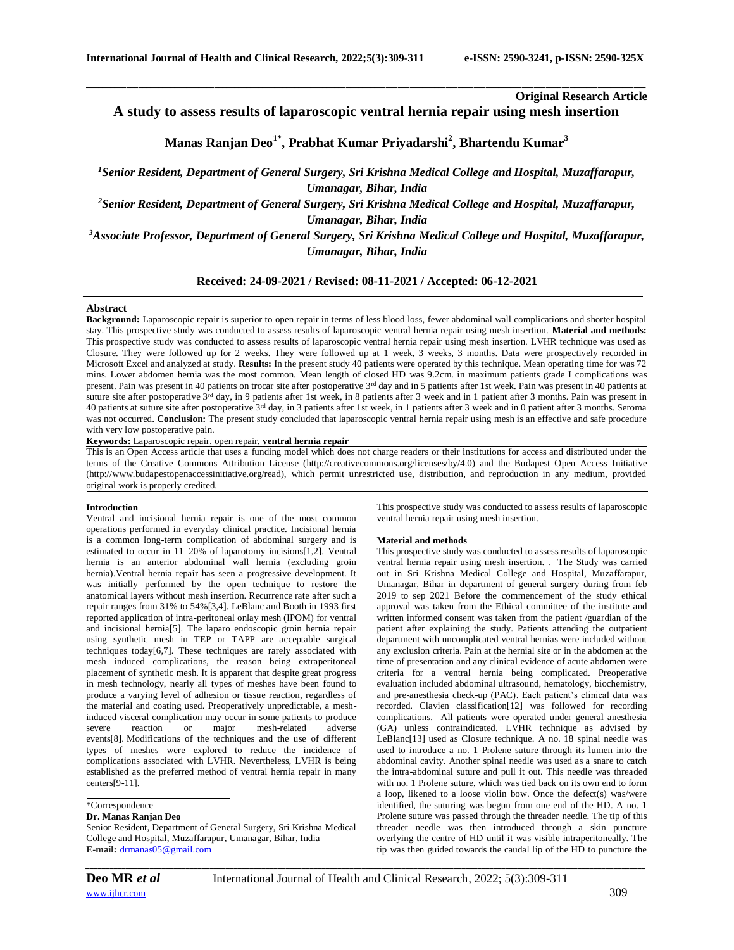**Original Research Article**

**A study to assess results of laparoscopic ventral hernia repair using mesh insertion**

\_\_\_\_\_\_\_\_\_\_\_\_\_\_\_\_\_\_\_\_\_\_\_\_\_\_\_\_\_\_\_\_\_\_\_\_\_\_\_\_\_\_\_\_\_\_\_\_\_\_\_\_\_\_\_\_\_\_\_\_\_\_\_\_\_\_\_\_\_\_\_\_\_\_\_\_\_\_\_\_\_\_\_\_\_\_\_\_\_\_\_\_\_\_\_\_\_\_\_\_\_\_\_\_\_\_\_\_\_\_\_\_\_\_\_\_\_\_\_\_\_\_\_\_\_\_\_\_\_\_\_\_\_\_\_\_\_\_\_\_

# **Manas Ranjan Deo1\* , Prabhat Kumar Priyadarshi<sup>2</sup> , Bhartendu Kumar<sup>3</sup>**

*<sup>1</sup>Senior Resident, Department of General Surgery, Sri Krishna Medical College and Hospital, Muzaffarapur, Umanagar, Bihar, India*

*<sup>2</sup>Senior Resident, Department of General Surgery, Sri Krishna Medical College and Hospital, Muzaffarapur, Umanagar, Bihar, India*

*<sup>3</sup>Associate Professor, Department of General Surgery, Sri Krishna Medical College and Hospital, Muzaffarapur, Umanagar, Bihar, India*

# **Received: 24-09-2021 / Revised: 08-11-2021 / Accepted: 06-12-2021**

# **Abstract**

**Background:** Laparoscopic repair is superior to open repair in terms of less blood loss, fewer abdominal wall complications and shorter hospital stay. This prospective study was conducted to assess results of laparoscopic ventral hernia repair using mesh insertion. **Material and methods:** This prospective study was conducted to assess results of laparoscopic ventral hernia repair using mesh insertion. LVHR technique was used as Closure. They were followed up for 2 weeks. They were followed up at 1 week, 3 weeks, 3 months. Data were prospectively recorded in Microsoft Excel and analyzed at study. **Results:** In the present study 40 patients were operated by this technique. Mean operating time for was 72 mins. Lower abdomen hernia was the most common. Mean length of closed HD was 9.2cm. in maximum patients grade I complications was present. Pain was present in 40 patients on trocar site after postoperative 3<sup>rd</sup> day and in 5 patients after 1st week. Pain was present in 40 patients at suture site after postoperative 3<sup>rd</sup> day, in 9 patients after 1st week, in 8 patients after 3 week and in 1 patient after 3 months. Pain was present in 40 patients at suture site after postoperative 3rd day, in 3 patients after 1st week, in 1 patients after 3 week and in 0 patient after 3 months. Seroma was not occurred. **Conclusion:** The present study concluded that laparoscopic ventral hernia repair using mesh is an effective and safe procedure with very low postoperative pain.

**Keywords:** Laparoscopic repair, open repair, **ventral hernia repair**

This is an Open Access article that uses a funding model which does not charge readers or their institutions for access and distributed under the terms of the Creative Commons Attribution License (http://creativecommons.org/licenses/by/4.0) and the Budapest Open Access Initiative (http://www.budapestopenaccessinitiative.org/read), which permit unrestricted use, distribution, and reproduction in any medium, provided original work is properly credited.

#### **Introduction**

Ventral and incisional hernia repair is one of the most common operations performed in everyday clinical practice. Incisional hernia is a common long-term complication of abdominal surgery and is estimated to occur in 11–20% of laparotomy incisions[1,2]. Ventral hernia is an anterior abdominal wall hernia (excluding groin hernia).Ventral hernia repair has seen a progressive development. It was initially performed by the open technique to restore the anatomical layers without mesh insertion. Recurrence rate after such a repair ranges from 31% to 54%[3,4]. LeBlanc and Booth in 1993 first reported application of intra-peritoneal onlay mesh (IPOM) for ventral and incisional hernia[5]. The laparo endoscopic groin hernia repair using synthetic mesh in TEP or TAPP are acceptable surgical techniques today[6,7]. These techniques are rarely associated with mesh induced complications, the reason being extraperitoneal placement of synthetic mesh. It is apparent that despite great progress in mesh technology, nearly all types of meshes have been found to produce a varying level of adhesion or tissue reaction, regardless of the material and coating used. Preoperatively unpredictable, a meshinduced visceral complication may occur in some patients to produce severe reaction or major mesh-related adverse events[8]. Modifications of the techniques and the use of different types of meshes were explored to reduce the incidence of complications associated with LVHR. Nevertheless, LVHR is being established as the preferred method of ventral hernia repair in many centers[9-11].

# \*Correspondence

#### **Dr. Manas Ranjan Deo**

Senior Resident, Department of General Surgery, Sri Krishna Medical College and Hospital, Muzaffarapur, Umanagar, Bihar, India **E-mail:** [drmanas05@gmail.com](mailto:drmanas05@gmail.com)

This prospective study was conducted to assess results of laparoscopic ventral hernia repair using mesh insertion.

#### **Material and methods**

This prospective study was conducted to assess results of laparoscopic ventral hernia repair using mesh insertion. . The Study was carried out in Sri Krishna Medical College and Hospital, Muzaffarapur, Umanagar, Bihar in department of general surgery during from feb 2019 to sep 2021 Before the commencement of the study ethical approval was taken from the Ethical committee of the institute and written informed consent was taken from the patient /guardian of the patient after explaining the study. Patients attending the outpatient department with uncomplicated ventral hernias were included without any exclusion criteria. Pain at the hernial site or in the abdomen at the time of presentation and any clinical evidence of acute abdomen were criteria for a ventral hernia being complicated. Preoperative evaluation included abdominal ultrasound, hematology, biochemistry, and pre-anesthesia check-up (PAC). Each patient's clinical data was recorded. Clavien classification[12] was followed for recording complications. All patients were operated under general anesthesia (GA) unless contraindicated. LVHR technique as advised by LeBlanc[13] used as Closure technique. A no. 18 spinal needle was used to introduce a no. 1 Prolene suture through its lumen into the abdominal cavity. Another spinal needle was used as a snare to catch the intra-abdominal suture and pull it out. This needle was threaded with no. 1 Prolene suture, which was tied back on its own end to form a loop, likened to a loose violin bow. Once the defect(s) was/were identified, the suturing was begun from one end of the HD. A no. 1 Prolene suture was passed through the threader needle. The tip of this threader needle was then introduced through a skin puncture overlying the centre of HD until it was visible intraperitoneally. The tip was then guided towards the caudal lip of the HD to puncture the

*\_\_\_\_\_\_\_\_\_\_\_\_\_\_\_\_\_\_\_\_\_\_\_\_\_\_\_\_\_\_\_\_\_\_\_\_\_\_\_\_\_\_\_\_\_\_\_\_\_\_\_\_\_\_\_\_\_\_\_\_\_\_\_\_\_\_\_\_\_\_\_\_\_\_\_\_\_\_\_\_\_\_\_\_\_\_\_\_\_\_\_\_\_\_\_\_\_\_\_\_\_\_\_\_\_\_\_\_\_\_\_\_\_\_\_\_\_\_\_\_\_\_\_\_\_\_\_\_\_\_\_\_\_\_\_\_\_\_\_\_*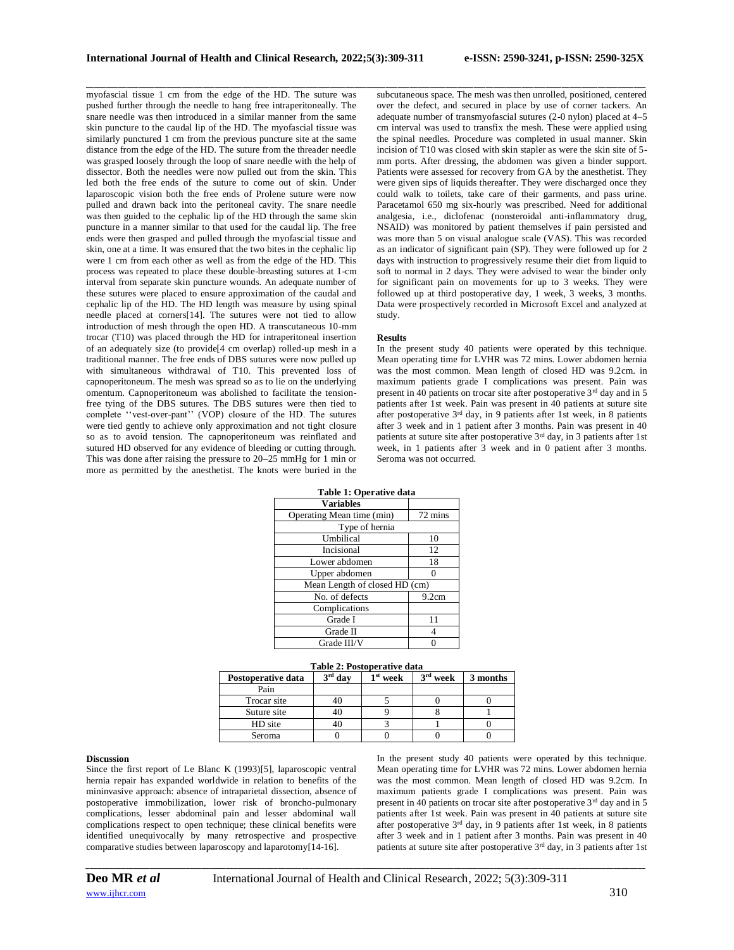myofascial tissue 1 cm from the edge of the HD. The suture was pushed further through the needle to hang free intraperitoneally. The snare needle was then introduced in a similar manner from the same skin puncture to the caudal lip of the HD. The myofascial tissue was similarly punctured 1 cm from the previous puncture site at the same distance from the edge of the HD. The suture from the threader needle was grasped loosely through the loop of snare needle with the help of dissector. Both the needles were now pulled out from the skin. This led both the free ends of the suture to come out of skin. Under laparoscopic vision both the free ends of Prolene suture were now pulled and drawn back into the peritoneal cavity. The snare needle was then guided to the cephalic lip of the HD through the same skin puncture in a manner similar to that used for the caudal lip. The free ends were then grasped and pulled through the myofascial tissue and skin, one at a time. It was ensured that the two bites in the cephalic lip were 1 cm from each other as well as from the edge of the HD. This process was repeated to place these double-breasting sutures at 1-cm interval from separate skin puncture wounds. An adequate number of these sutures were placed to ensure approximation of the caudal and cephalic lip of the HD. The HD length was measure by using spinal needle placed at corners[14]. The sutures were not tied to allow introduction of mesh through the open HD. A transcutaneous 10-mm trocar (T10) was placed through the HD for intraperitoneal insertion of an adequately size (to provide[4 cm overlap) rolled-up mesh in a traditional manner. The free ends of DBS sutures were now pulled up with simultaneous withdrawal of T10. This prevented loss of capnoperitoneum. The mesh was spread so as to lie on the underlying omentum. Capnoperitoneum was abolished to facilitate the tensionfree tying of the DBS sutures. The DBS sutures were then tied to complete ''vest-over-pant'' (VOP) closure of the HD. The sutures were tied gently to achieve only approximation and not tight closure so as to avoid tension. The capnoperitoneum was reinflated and sutured HD observed for any evidence of bleeding or cutting through. This was done after raising the pressure to 20–25 mmHg for 1 min or more as permitted by the anesthetist. The knots were buried in the

\_\_\_\_\_\_\_\_\_\_\_\_\_\_\_\_\_\_\_\_\_\_\_\_\_\_\_\_\_\_\_\_\_\_\_\_\_\_\_\_\_\_\_\_\_\_\_\_\_\_\_\_\_\_\_\_\_\_\_\_\_\_\_\_\_\_\_\_\_\_\_\_\_\_\_\_\_\_\_\_\_\_\_\_\_\_\_\_\_\_\_\_\_\_\_\_\_\_\_\_\_\_\_\_\_\_\_\_\_\_\_\_\_\_\_\_\_\_\_\_\_\_\_\_\_\_\_\_\_\_\_\_\_\_\_\_\_\_\_\_ subcutaneous space. The mesh was then unrolled, positioned, centered over the defect, and secured in place by use of corner tackers. An adequate number of transmyofascial sutures (2-0 nylon) placed at 4–5 cm interval was used to transfix the mesh. These were applied using the spinal needles. Procedure was completed in usual manner. Skin incision of T10 was closed with skin stapler as were the skin site of 5 mm ports. After dressing, the abdomen was given a binder support. Patients were assessed for recovery from GA by the anesthetist. They were given sips of liquids thereafter. They were discharged once they could walk to toilets, take care of their garments, and pass urine. Paracetamol 650 mg six-hourly was prescribed. Need for additional analgesia, i.e., diclofenac (nonsteroidal anti-inflammatory drug, NSAID) was monitored by patient themselves if pain persisted and was more than 5 on visual analogue scale (VAS). This was recorded as an indicator of significant pain (SP). They were followed up for 2 days with instruction to progressively resume their diet from liquid to soft to normal in 2 days. They were advised to wear the binder only for significant pain on movements for up to 3 weeks. They were followed up at third postoperative day, 1 week, 3 weeks, 3 months. Data were prospectively recorded in Microsoft Excel and analyzed at study.

## **Results**

In the present study 40 patients were operated by this technique. Mean operating time for LVHR was 72 mins. Lower abdomen hernia was the most common. Mean length of closed HD was 9.2cm. in maximum patients grade I complications was present. Pain was present in 40 patients on trocar site after postoperative 3rd day and in 5 patients after 1st week. Pain was present in 40 patients at suture site after postoperative  $3<sup>rd</sup>$  day, in 9 patients after 1st week, in 8 patients after 3 week and in 1 patient after 3 months. Pain was present in 40 patients at suture site after postoperative 3rd day, in 3 patients after 1st week, in 1 patients after 3 week and in 0 patient after 3 months. Seroma was not occurred.

| Table 1: Operative data       |         |  |  |  |
|-------------------------------|---------|--|--|--|
| <b>Variables</b>              |         |  |  |  |
| Operating Mean time (min)     | 72 mins |  |  |  |
| Type of hernia                |         |  |  |  |
| Umbilical                     | 10      |  |  |  |
| Incisional                    | 12      |  |  |  |
| Lower abdomen                 | 18      |  |  |  |
| Upper abdomen                 |         |  |  |  |
| Mean Length of closed HD (cm) |         |  |  |  |
| No. of defects                | 9.2cm   |  |  |  |
| Complications                 |         |  |  |  |
| Grade I                       | 11      |  |  |  |
| Grade II                      |         |  |  |  |
| Grade III/V                   |         |  |  |  |

| No. of defects | 9.2cm |  |  |  |
|----------------|-------|--|--|--|
| Complications  |       |  |  |  |
| Grade I        | 11    |  |  |  |
| Grade II       |       |  |  |  |
| Grade III/V    |       |  |  |  |
|                |       |  |  |  |

|  | Table 2: Postoperative data |  |
|--|-----------------------------|--|
|  |                             |  |

| Postoperative data | $3rd$ day | $1st$ week | $3rd$ week | 3 months |
|--------------------|-----------|------------|------------|----------|
| Pain               |           |            |            |          |
| Trocar site        |           |            |            |          |
| Suture site        |           |            |            |          |
| HD site            |           |            |            |          |
| Seroma             |           |            |            |          |

#### **Discussion**

Since the first report of Le Blanc K (1993)[5], laparoscopic ventral hernia repair has expanded worldwide in relation to benefits of the mininvasive approach: absence of intraparietal dissection, absence of postoperative immobilization, lower risk of broncho-pulmonary complications, lesser abdominal pain and lesser abdominal wall complications respect to open technique; these clinical benefits were identified unequivocally by many retrospective and prospective comparative studies between laparoscopy and laparotomy[14-16].

In the present study 40 patients were operated by this technique. Mean operating time for LVHR was 72 mins. Lower abdomen hernia was the most common. Mean length of closed HD was 9.2cm. In maximum patients grade I complications was present. Pain was present in 40 patients on trocar site after postoperative 3<sup>rd</sup> day and in 5 patients after 1st week. Pain was present in 40 patients at suture site after postoperative  $3^{rd}$  day, in 9 patients after 1st week, in 8 patients after 3 week and in 1 patient after 3 months. Pain was present in 40 patients at suture site after postoperative  $3<sup>rd</sup>$  day, in 3 patients after 1st

*\_\_\_\_\_\_\_\_\_\_\_\_\_\_\_\_\_\_\_\_\_\_\_\_\_\_\_\_\_\_\_\_\_\_\_\_\_\_\_\_\_\_\_\_\_\_\_\_\_\_\_\_\_\_\_\_\_\_\_\_\_\_\_\_\_\_\_\_\_\_\_\_\_\_\_\_\_\_\_\_\_\_\_\_\_\_\_\_\_\_\_\_\_\_\_\_\_\_\_\_\_\_\_\_\_\_\_\_\_\_\_\_\_\_\_\_\_\_\_\_\_\_\_\_\_\_\_\_\_\_\_\_\_\_\_\_\_\_\_\_*